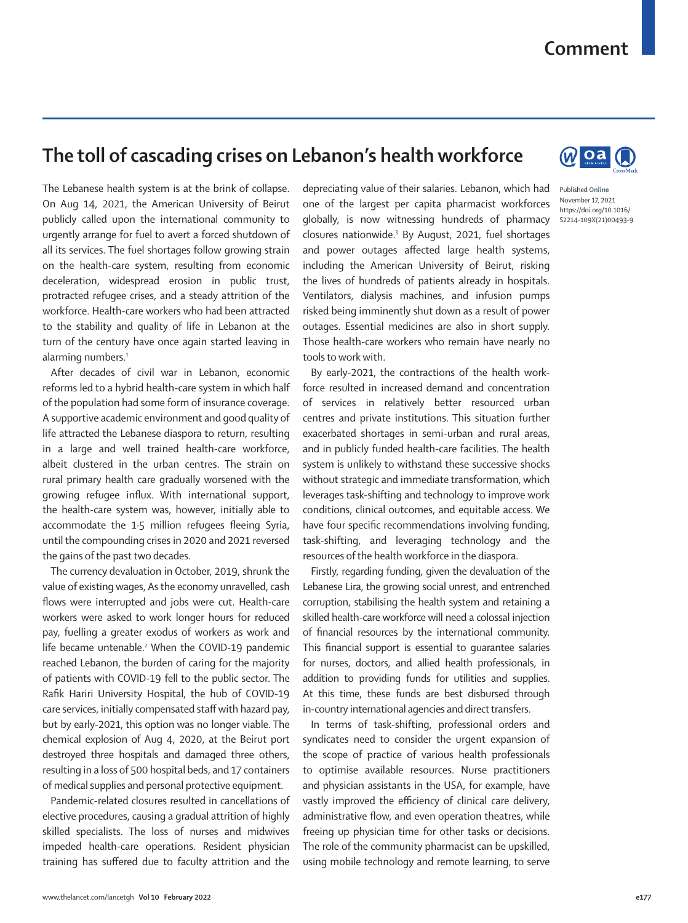## **Comment**

## **The toll of cascading crises on Lebanon's health workforce**

The Lebanese health system is at the brink of collapse. On Aug 14, 2021, the American University of Beirut publicly called upon the international community to urgently arrange for fuel to avert a forced shutdown of all its services. The fuel shortages follow growing strain on the health-care system, resulting from economic deceleration, widespread erosion in public trust, protracted refugee crises, and a steady attrition of the workforce. Health-care workers who had been attracted to the stability and quality of life in Lebanon at the turn of the century have once again started leaving in alarming numbers.<sup>1</sup>

After decades of civil war in Lebanon, economic reforms led to a hybrid health-care system in which half of the population had some form of insurance coverage. A supportive academic environment and good quality of life attracted the Lebanese diaspora to return, resulting in a large and well trained health-care workforce, albeit clustered in the urban centres. The strain on rural primary health care gradually worsened with the growing refugee influx. With international support, the health-care system was, however, initially able to accommodate the 1·5 million refugees fleeing Syria, until the compounding crises in 2020 and 2021 reversed the gains of the past two decades.

The currency devaluation in October, 2019, shrunk the value of existing wages, As the economy unravelled, cash flows were interrupted and jobs were cut. Health-care workers were asked to work longer hours for reduced pay, fuelling a greater exodus of workers as work and life became untenable.<sup>2</sup> When the COVID-19 pandemic reached Lebanon, the burden of caring for the majority of patients with COVID-19 fell to the public sector. The Rafik Hariri University Hospital, the hub of COVID-19 care services, initially compensated staff with hazard pay, but by early-2021, this option was no longer viable. The chemical explosion of Aug 4, 2020, at the Beirut port destroyed three hospitals and damaged three others, resulting in a loss of 500 hospital beds, and 17 containers of medical supplies and personal protective equipment.

Pandemic-related closures resulted in cancellations of elective procedures, causing a gradual attrition of highly skilled specialists. The loss of nurses and midwives impeded health-care operations. Resident physician training has suffered due to faculty attrition and the depreciating value of their salaries. Lebanon, which had one of the largest per capita pharmacist workforces globally, is now witnessing hundreds of pharmacy closures nationwide.3 By August, 2021, fuel shortages and power outages affected large health systems, including the American University of Beirut, risking the lives of hundreds of patients already in hospitals. Ventilators, dialysis machines, and infusion pumps risked being imminently shut down as a result of power outages. Essential medicines are also in short supply. Those health-care workers who remain have nearly no tools to work with.

By early-2021, the contractions of the health workforce resulted in increased demand and concentration of services in relatively better resourced urban centres and private institutions. This situation further exacerbated shortages in semi-urban and rural areas, and in publicly funded health-care facilities. The health system is unlikely to withstand these successive shocks without strategic and immediate transformation, which leverages task-shifting and technology to improve work conditions, clinical outcomes, and equitable access. We have four specific recommendations involving funding, task-shifting, and leveraging technology and the resources of the health workforce in the diaspora.

Firstly, regarding funding, given the devaluation of the Lebanese Lira, the growing social unrest, and entrenched corruption, stabilising the health system and retaining a skilled health-care workforce will need a colossal injection of financial resources by the international community. This financial support is essential to guarantee salaries for nurses, doctors, and allied health professionals, in addition to providing funds for utilities and supplies. At this time, these funds are best disbursed through in-country international agencies and direct transfers.

In terms of task-shifting, professional orders and syndicates need to consider the urgent expansion of the scope of practice of various health professionals to optimise available resources. Nurse practitioners and physician assistants in the USA, for example, have vastly improved the efficiency of clinical care delivery, administrative flow, and even operation theatres, while freeing up physician time for other tasks or decisions. The role of the community pharmacist can be upskilled, using mobile technology and remote learning, to serve



Published **Online** November 17, 2021 https://doi.org/10.1016/ S2214-109X(21)00493-9